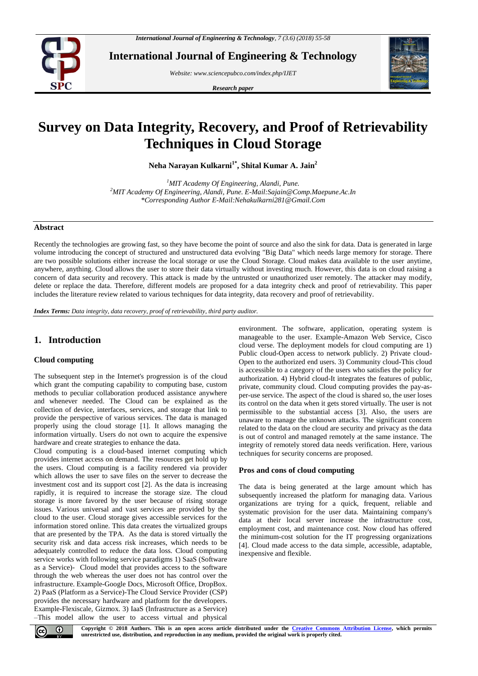

**International Journal of Engineering & Technology**

*Website: www.sciencepubco.com/index.php/IJET* 

*Research paper*



# **Survey on Data Integrity, Recovery, and Proof of Retrievability Techniques in Cloud Storage**

**Neha Narayan Kulkarni1\* , Shital Kumar A. Jain<sup>2</sup>**

*<sup>1</sup>MIT Academy Of Engineering, Alandi, Pune. <sup>2</sup>MIT Academy Of Engineering, Alandi, Pune. E-Mail:Sajain@Comp.Maepune.Ac.In \*Corresponding Author E-Mail:Nehakulkarni281@Gmail.Com*

## **Abstract**

Recently the technologies are growing fast, so they have become the point of source and also the sink for data. Data is generated in large volume introducing the concept of structured and unstructured data evolving "Big Data" which needs large memory for storage. There are two possible solutions either increase the local storage or use the Cloud Storage. Cloud makes data available to the user anytime, anywhere, anything. Cloud allows the user to store their data virtually without investing much. However, this data is on cloud raising a concern of data security and recovery. This attack is made by the untrusted or unauthorized user remotely. The attacker may modify, delete or replace the data. Therefore, different models are proposed for a data integrity check and proof of retrievability. This paper includes the literature review related to various techniques for data integrity, data recovery and proof of retrievability.

*Index Terms: Data integrity, data recovery, proof of retrievability, third party auditor.*

# **1. Introduction**

# **Cloud computing**

The subsequent step in the Internet's progression is of the cloud which grant the computing capability to computing base, custom methods to peculiar collaboration produced assistance anywhere and whenever needed. The Cloud can be explained as the collection of device, interfaces, services, and storage that link to provide the perspective of various services. The data is managed properly using the cloud storage [1]. It allows managing the information virtually. Users do not own to acquire the expensive hardware and create strategies to enhance the data.

Cloud computing is a cloud-based internet computing which provides internet access on demand. The resources get hold up by the users. Cloud computing is a facility rendered via provider which allows the user to save files on the server to decrease the investment cost and its support cost [2]. As the data is increasing rapidly, it is required to increase the storage size. The cloud storage is more favored by the user because of rising storage issues. Various universal and vast services are provided by the cloud to the user. Cloud storage gives accessible services for the information stored online. This data creates the virtualized groups that are presented by the TPA. As the data is stored virtually the security risk and data access risk increases, which needs to be adequately controlled to reduce the data loss. Cloud computing service works with following service paradigms 1) SaaS (Software as a Service)- Cloud model that provides access to the software through the web whereas the user does not has control over the infrastructure. Example-Google Docs, Microsoft Office, DropBox. 2) PaaS (Platform as a Service)-The Cloud Service Provider (CSP) provides the necessary hardware and platform for the developers. Example-Flexiscale, Gizmox. 3) IaaS (Infrastructure as a Service) –This model allow the user to access virtual and physical environment. The software, application, operating system is manageable to the user. Example-Amazon Web Service, Cisco cloud verse. The deployment models for cloud computing are 1) Public cloud-Open access to network publicly. 2) Private cloud-Open to the authorized end users. 3) Community cloud-This cloud is accessible to a category of the users who satisfies the policy for authorization. 4) Hybrid cloud-It integrates the features of public, private, community cloud. Cloud computing provides the pay-asper-use service. The aspect of the cloud is shared so, the user loses its control on the data when it gets stored virtually. The user is not permissible to the substantial access [3]. Also, the users are unaware to manage the unknown attacks. The significant concern related to the data on the cloud are security and privacy as the data is out of control and managed remotely at the same instance. The integrity of remotely stored data needs verification. Here, various techniques for security concerns are proposed.

## **Pros and cons of cloud computing**

The data is being generated at the large amount which has subsequently increased the platform for managing data. Various organizations are trying for a quick, frequent, reliable and systematic provision for the user data. Maintaining company's data at their local server increase the infrastructure cost, employment cost, and maintenance cost. Now cloud has offered the minimum-cost solution for the IT progressing organizations [4]. Cloud made access to the data simple, accessible, adaptable, inexpensive and flexible.



**Copyright © 2018 Authors. This is an open access article distributed under the Creative Commons Attribution License, which permits unrestricted use, distribution, and reproduction in any medium, provided the original work is properly cited.**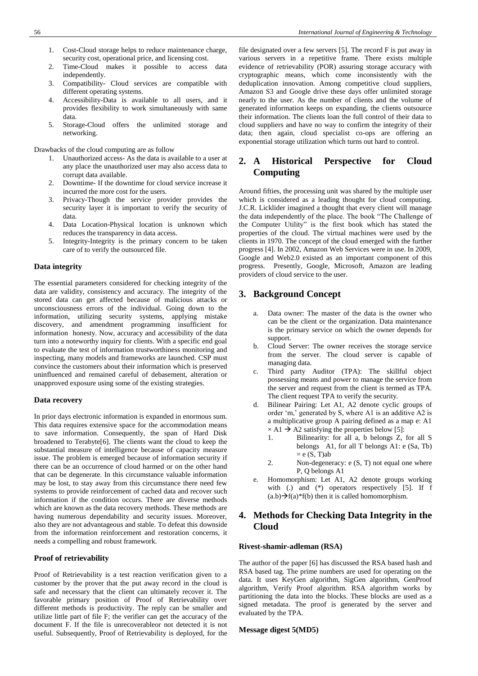- 1. Cost-Cloud storage helps to reduce maintenance charge, security cost, operational price, and licensing cost.
- 2. Time-Cloud makes it possible to access data independently.
- 3. Compatibility- Cloud services are compatible with different operating systems.
- 4. Accessibility-Data is available to all users, and it provides flexibility to work simultaneously with same data.
- 5. Storage-Cloud offers the unlimited storage and networking.

Drawbacks of the cloud computing are as follow

- 1. Unauthorized access- As the data is available to a user at any place the unauthorized user may also access data to corrupt data available.
- 2. Downtime- If the downtime for cloud service increase it incurred the more cost for the users.
- 3. Privacy-Though the service provider provides the security layer it is important to verify the security of data.
- 4. Data Location-Physical location is unknown which reduces the transparency in data access.
- 5. Integrity-Integrity is the primary concern to be taken care of to verify the outsourced file.

## **Data integrity**

The essential parameters considered for checking integrity of the data are validity, consistency and accuracy. The integrity of the stored data can get affected because of malicious attacks or unconsciousness errors of the individual. Going down to the information, utilizing security systems, applying mistake discovery, and amendment programming insufficient for information honesty. Now, accuracy and accessibility of the data turn into a noteworthy inquiry for clients. With a specific end goal to evaluate the test of information trustworthiness monitoring and inspecting, many models and frameworks are launched. CSP must convince the customers about their information which is preserved uninfluenced and remained careful of debasement, alteration or unapproved exposure using some of the existing strategies.

#### **Data recovery**

In prior days electronic information is expanded in enormous sum. This data requires extensive space for the accommodation means to save information. Consequently, the span of Hard Disk broadened to Terabyte[6]. The clients want the cloud to keep the substantial measure of intelligence because of capacity measure issue. The problem is emerged because of information security if there can be an occurrence of cloud harmed or on the other hand that can be degenerate. In this circumstance valuable information may be lost, to stay away from this circumstance there need few systems to provide reinforcement of cached data and recover such information if the condition occurs. There are diverse methods which are known as the data recovery methods. These methods are having numerous dependability and security issues. Moreover, also they are not advantageous and stable. To defeat this downside from the information reinforcement and restoration concerns, it needs a compelling and robust framework.

#### **Proof of retrievability**

Proof of Retrievability is a test reaction verification given to a customer by the prover that the put away record in the cloud is safe and necessary that the client can ultimately recover it. The favorable primary position of Proof of Retrievability over different methods is productivity. The reply can be smaller and utilize little part of file F; the verifier can get the accuracy of the document F. If the file is unrecoverableor not detected it is not useful. Subsequently, Proof of Retrievability is deployed, for the

file designated over a few servers [5]. The record F is put away in various servers in a repetitive frame. There exists multiple evidence of retrievability (POR) assuring storage accuracy with cryptographic means, which come inconsistently with the deduplication innovation. Among competitive cloud suppliers, Amazon S3 and Google drive these days offer unlimited storage nearly to the user. As the number of clients and the volume of generated information keeps on expanding, the clients outsource their information. The clients loan the full control of their data to cloud suppliers and have no way to confirm the integrity of their data; then again, cloud specialist co-ops are offering an exponential storage utilization which turns out hard to control.

# **2. A Historical Perspective for Cloud Computing**

Around fifties, the processing unit was shared by the multiple user which is considered as a leading thought for cloud computing. J.C.R. Licklider imagined a thought that every client will manage the data independently of the place. The book "The Challenge of the Computer Utility" is the first book which has stated the properties of the cloud. The virtual machines were used by the clients in 1970. The concept of the cloud emerged with the further progress [4]. In 2002, Amazon Web Services were in use. In 2009, Google and Web2.0 existed as an important component of this progress. Presently, Google, Microsoft, Amazon are leading providers of cloud service to the user.

## **3. Background Concept**

- a. Data owner: The master of the data is the owner who can be the client or the organization. Data maintenance is the primary service on which the owner depends for support.
- b. Cloud Server: The owner receives the storage service from the server. The cloud server is capable of managing data.
- c. Third party Auditor (TPA): The skillful object possessing means and power to manage the service from the server and request from the client is termed as TPA. The client request TPA to verify the security.
- d. Bilinear Pairing: Let A1, A2 denote cyclic groups of order 'm,' generated by S, where A1 is an additive A2 is a multiplicative group A pairing defined as a map e: A1  $\times$  A1  $\rightarrow$  A2 satisfying the properties below [5]:
	- 1. Bilinearity: for all a, b belongs Z, for all S belongs A1, for all T belongs A1: e (Sa, Tb)  $= e(S, T)ab$
	- 2. Non-degeneracy: e (S, T) not equal one where P, Q belongs A1
- e. Homomorphism: Let A1, A2 denote groups working with (.) and (\*) operators respectively [5]. If f  $(a.b) \rightarrow f(a)*f(b)$  then it is called homomorphism.

## **4. Methods for Checking Data Integrity in the Cloud**

#### **Rivest-shamir-adleman (RSA)**

The author of the paper [6] has discussed the RSA based hash and RSA based tag. The prime numbers are used for operating on the data. It uses KeyGen algorithm, SigGen algorithm, GenProof algorithm, Verify Proof algorithm. RSA algorithm works by partitioning the data into the blocks. These blocks are used as a signed metadata. The proof is generated by the server and evaluated by the TPA.

#### **Message digest 5(MD5)**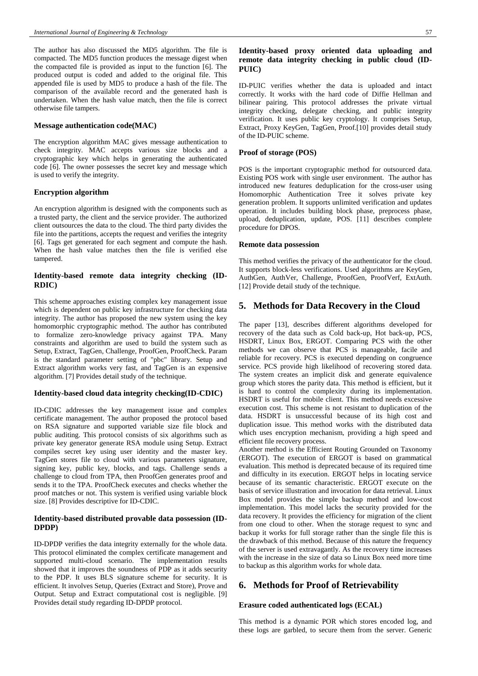The author has also discussed the MD5 algorithm. The file is compacted. The MD5 function produces the message digest when the compacted file is provided as input to the function [6]. The produced output is coded and added to the original file. This appended file is used by MD5 to produce a hash of the file. The comparison of the available record and the generated hash is undertaken. When the hash value match, then the file is correct otherwise file tampers.

#### **Message authentication code(MAC)**

The encryption algorithm MAC gives message authentication to check integrity. MAC accepts various size blocks and a cryptographic key which helps in generating the authenticated code [6]. The owner possesses the secret key and message which is used to verify the integrity.

#### **Encryption algorithm**

An encryption algorithm is designed with the components such as a trusted party, the client and the service provider. The authorized client outsources the data to the cloud. The third party divides the file into the partitions, accepts the request and verifies the integrity [6]. Tags get generated for each segment and compute the hash. When the hash value matches then the file is verified else tampered.

## **Identity-based remote data integrity checking (ID-RDIC)**

This scheme approaches existing complex key management issue which is dependent on public key infrastructure for checking data integrity. The author has proposed the new system using the key homomorphic cryptographic method. The author has contributed to formalize zero-knowledge privacy against TPA. Many constraints and algorithm are used to build the system such as Setup, Extract, TagGen, Challenge, ProofGen, ProofCheck. Param is the standard parameter setting of "pbc" library. Setup and Extract algorithm works very fast, and TagGen is an expensive algorithm. [7] Provides detail study of the technique.

#### **Identity-based cloud data integrity checking(ID-CDIC)**

ID-CDIC addresses the key management issue and complex certificate management. The author proposed the protocol based on RSA signature and supported variable size file block and public auditing. This protocol consists of six algorithms such as private key generator generate RSA module using Setup. Extract compiles secret key using user identity and the master key. TagGen stores file to cloud with various parameters signature, signing key, public key, blocks, and tags. Challenge sends a challenge to cloud from TPA, then ProofGen generates proof and sends it to the TPA. ProofCheck executes and checks whether the proof matches or not. This system is verified using variable block size. [8] Provides descriptive for ID-CDIC.

## **Identity-based distributed provable data possession (ID-DPDP)**

ID-DPDP verifies the data integrity externally for the whole data. This protocol eliminated the complex certificate management and supported multi-cloud scenario. The implementation results showed that it improves the soundness of PDP as it adds security to the PDP. It uses BLS signature scheme for security. It is efficient. It involves Setup, Queries (Extract and Store), Prove and Output. Setup and Extract computational cost is negligible. [9] Provides detail study regarding ID-DPDP protocol.

## **Identity-based proxy oriented data uploading and remote data integrity checking in public cloud (ID-PUIC)**

ID-PUIC verifies whether the data is uploaded and intact correctly. It works with the hard code of Diffie Hellman and bilinear pairing. This protocol addresses the private virtual integrity checking, delegate checking, and public integrity verification. It uses public key cryptology. It comprises Setup, Extract, Proxy KeyGen, TagGen, Proof.[10] provides detail study of the ID-PUIC scheme.

## **Proof of storage (POS)**

POS is the important cryptographic method for outsourced data. Existing POS work with single user environment. The author has introduced new features deduplication for the cross-user using Homomorphic Authentication Tree it solves private key generation problem. It supports unlimited verification and updates operation. It includes building block phase, preprocess phase, upload, deduplication, update, POS. [11] describes complete procedure for DPOS.

#### **Remote data possession**

This method verifies the privacy of the authenticator for the cloud. It supports block-less verifications. Used algorithms are KeyGen, AuthGen, AuthVer, Challenge, ProofGen, ProofVerf, ExtAuth. [12] Provide detail study of the technique.

## **5. Methods for Data Recovery in the Cloud**

The paper [13], describes different algorithms developed for recovery of the data such as Cold back-up, Hot back-up, PCS, HSDRT, Linux Box, ERGOT. Comparing PCS with the other methods we can observe that PCS is manageable, facile and reliable for recovery. PCS is executed depending on congruence service. PCS provide high likelihood of recovering stored data. The system creates an implicit disk and generate equivalence group which stores the parity data. This method is efficient, but it is hard to control the complexity during its implementation. HSDRT is useful for mobile client. This method needs excessive execution cost. This scheme is not resistant to duplication of the data. HSDRT is unsuccessful because of its high cost and duplication issue. This method works with the distributed data which uses encryption mechanism, providing a high speed and efficient file recovery process.

Another method is the Efficient Routing Grounded on Taxonomy (ERGOT). The execution of ERGOT is based on grammatical evaluation. This method is deprecated because of its required time and difficulty in its execution. ERGOT helps in locating service because of its semantic characteristic. ERGOT execute on the basis of service illustration and invocation for data retrieval. Linux Box model provides the simple backup method and low-cost implementation. This model lacks the security provided for the data recovery. It provides the efficiency for migration of the client from one cloud to other. When the storage request to sync and backup it works for full storage rather than the single file this is the drawback of this method. Because of this nature the frequency of the server is used extravagantly. As the recovery time increases with the increase in the size of data so Linux Box need more time to backup as this algorithm works for whole data.

## **6. Methods for Proof of Retrievability**

### **Erasure coded authenticated logs (ECAL)**

This method is a dynamic POR which stores encoded log, and these logs are garbled, to secure them from the server. Generic